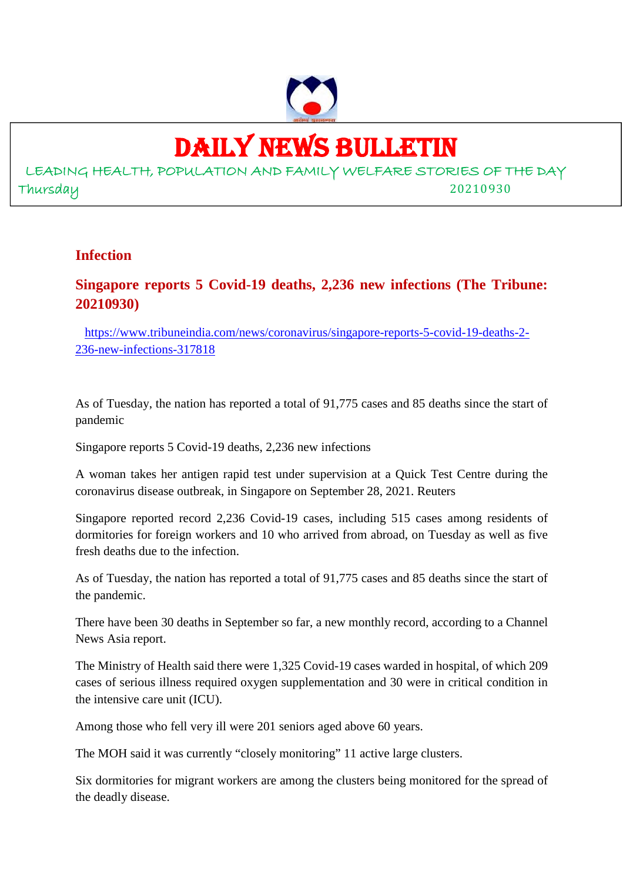

# DAILY NEWS BULLETIN

LEADING HEALTH, POPULATION AND FAMILY WELFARE STORIES OF THE DAY Thursday 20210930

## **Infection**

# **Singapore reports 5 Covid-19 deaths, 2,236 new infections (The Tribune: 20210930)**

https://www.tribuneindia.com/news/coronavirus/singapore-reports-5-covid-19-deaths-2- 236-new-infections-317818

As of Tuesday, the nation has reported a total of 91,775 cases and 85 deaths since the start of pandemic

Singapore reports 5 Covid-19 deaths, 2,236 new infections

A woman takes her antigen rapid test under supervision at a Quick Test Centre during the coronavirus disease outbreak, in Singapore on September 28, 2021. Reuters

Singapore reported record 2,236 Covid-19 cases, including 515 cases among residents of dormitories for foreign workers and 10 who arrived from abroad, on Tuesday as well as five fresh deaths due to the infection.

As of Tuesday, the nation has reported a total of 91,775 cases and 85 deaths since the start of the pandemic.

There have been 30 deaths in September so far, a new monthly record, according to a Channel News Asia report.

The Ministry of Health said there were 1,325 Covid-19 cases warded in hospital, of which 209 cases of serious illness required oxygen supplementation and 30 were in critical condition in the intensive care unit (ICU).

Among those who fell very ill were 201 seniors aged above 60 years.

The MOH said it was currently "closely monitoring" 11 active large clusters.

Six dormitories for migrant workers are among the clusters being monitored for the spread of the deadly disease.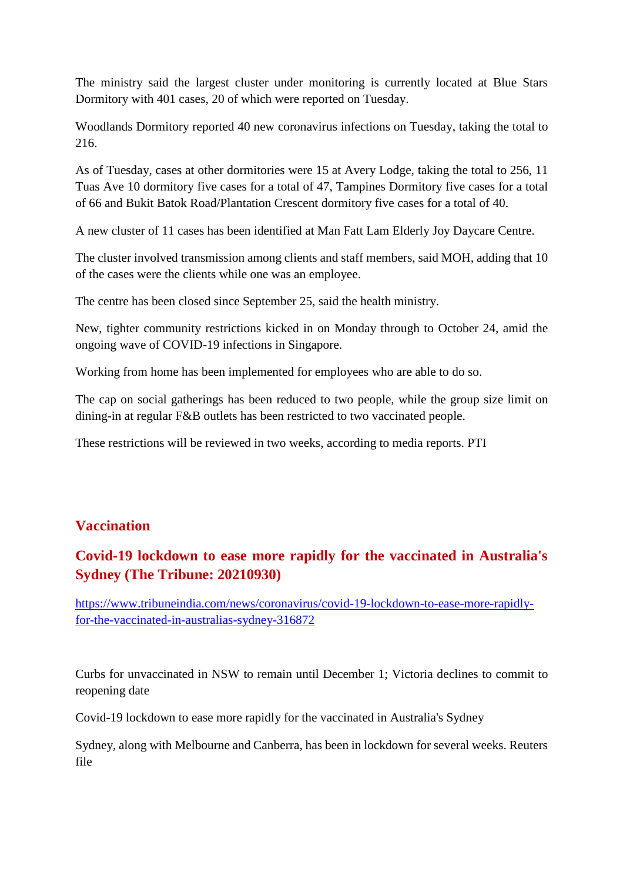The ministry said the largest cluster under monitoring is currently located at Blue Stars Dormitory with 401 cases, 20 of which were reported on Tuesday.

Woodlands Dormitory reported 40 new coronavirus infections on Tuesday, taking the total to 216.

As of Tuesday, cases at other dormitories were 15 at Avery Lodge, taking the total to 256, 11 Tuas Ave 10 dormitory five cases for a total of 47, Tampines Dormitory five cases for a total of 66 and Bukit Batok Road/Plantation Crescent dormitory five cases for a total of 40.

A new cluster of 11 cases has been identified at Man Fatt Lam Elderly Joy Daycare Centre.

The cluster involved transmission among clients and staff members, said MOH, adding that 10 of the cases were the clients while one was an employee.

The centre has been closed since September 25, said the health ministry.

New, tighter community restrictions kicked in on Monday through to October 24, amid the ongoing wave of COVID-19 infections in Singapore.

Working from home has been implemented for employees who are able to do so.

The cap on social gatherings has been reduced to two people, while the group size limit on dining-in at regular F&B outlets has been restricted to two vaccinated people.

These restrictions will be reviewed in two weeks, according to media reports. PTI

# **Vaccination**

# **Covid-19 lockdown to ease more rapidly for the vaccinated in Australia's Sydney (The Tribune: 20210930)**

https://www.tribuneindia.com/news/coronavirus/covid-19-lockdown-to-ease-more-rapidlyfor-the-vaccinated-in-australias-sydney-316872

Curbs for unvaccinated in NSW to remain until December 1; Victoria declines to commit to reopening date

Covid-19 lockdown to ease more rapidly for the vaccinated in Australia's Sydney

Sydney, along with Melbourne and Canberra, has been in lockdown for several weeks. Reuters file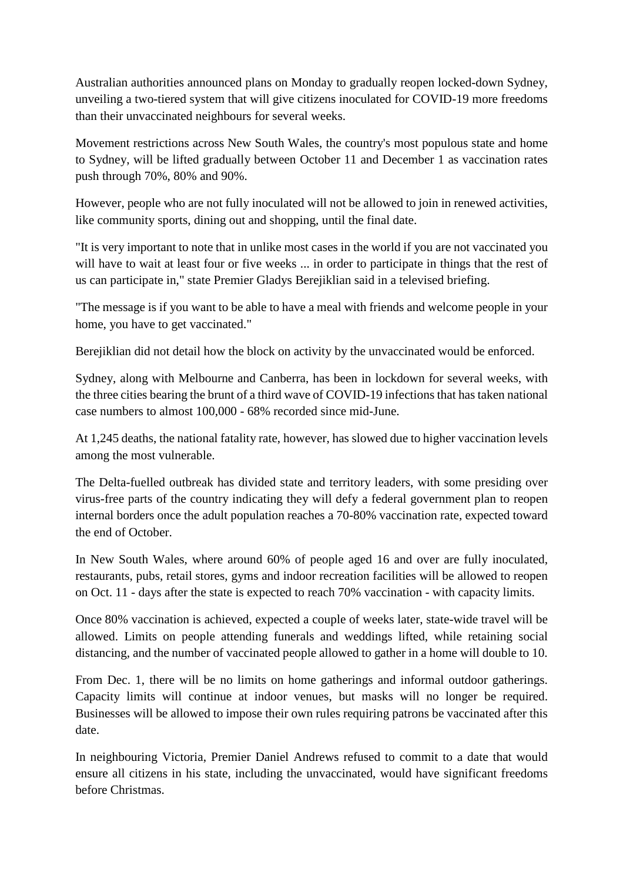Australian authorities announced plans on Monday to gradually reopen locked-down Sydney, unveiling a two-tiered system that will give citizens inoculated for COVID-19 more freedoms than their unvaccinated neighbours for several weeks.

Movement restrictions across New South Wales, the country's most populous state and home to Sydney, will be lifted gradually between October 11 and December 1 as vaccination rates push through 70%, 80% and 90%.

However, people who are not fully inoculated will not be allowed to join in renewed activities, like community sports, dining out and shopping, until the final date.

"It is very important to note that in unlike most cases in the world if you are not vaccinated you will have to wait at least four or five weeks ... in order to participate in things that the rest of us can participate in," state Premier Gladys Berejiklian said in a televised briefing.

"The message is if you want to be able to have a meal with friends and welcome people in your home, you have to get vaccinated."

Berejiklian did not detail how the block on activity by the unvaccinated would be enforced.

Sydney, along with Melbourne and Canberra, has been in lockdown for several weeks, with the three cities bearing the brunt of a third wave of COVID-19 infections that has taken national case numbers to almost 100,000 - 68% recorded since mid-June.

At 1,245 deaths, the national fatality rate, however, has slowed due to higher vaccination levels among the most vulnerable.

The Delta-fuelled outbreak has divided state and territory leaders, with some presiding over virus-free parts of the country indicating they will defy a federal government plan to reopen internal borders once the adult population reaches a 70-80% vaccination rate, expected toward the end of October.

In New South Wales, where around 60% of people aged 16 and over are fully inoculated, restaurants, pubs, retail stores, gyms and indoor recreation facilities will be allowed to reopen on Oct. 11 - days after the state is expected to reach 70% vaccination - with capacity limits.

Once 80% vaccination is achieved, expected a couple of weeks later, state-wide travel will be allowed. Limits on people attending funerals and weddings lifted, while retaining social distancing, and the number of vaccinated people allowed to gather in a home will double to 10.

From Dec. 1, there will be no limits on home gatherings and informal outdoor gatherings. Capacity limits will continue at indoor venues, but masks will no longer be required. Businesses will be allowed to impose their own rules requiring patrons be vaccinated after this date.

In neighbouring Victoria, Premier Daniel Andrews refused to commit to a date that would ensure all citizens in his state, including the unvaccinated, would have significant freedoms before Christmas.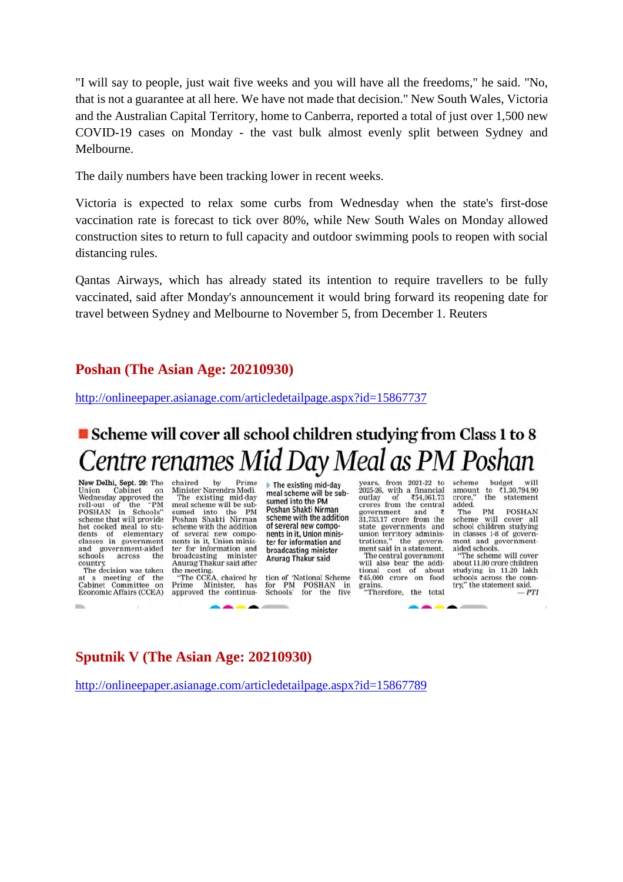"I will say to people, just wait five weeks and you will have all the freedoms," he said. "No, that is not a guarantee at all here. We have not made that decision." New South Wales, Victoria and the Australian Capital Territory, home to Canberra, reported a total of just over 1,500 new COVID-19 cases on Monday - the vast bulk almost evenly split between Sydney and Melbourne.

The daily numbers have been tracking lower in recent weeks.

Victoria is expected to relax some curbs from Wednesday when the state's first-dose vaccination rate is forecast to tick over 80%, while New South Wales on Monday allowed construction sites to return to full capacity and outdoor swimming pools to reopen with social distancing rules.

Qantas Airways, which has already stated its intention to require travellers to be fully vaccinated, said after Monday's announcement it would bring forward its reopening date for travel between Sydney and Melbourne to November 5, from December 1. Reuters

### **Poshan (The Asian Age: 20210930)**

http://onlineepaper.asianage.com/articledetailpage.aspx?id=15867737

# Scheme will cover all school children studying from Class 1 to 8 Centre renames Mid Day Meal as PM Poshan

New Delhi, Sept. 29: The Union Cabinet on<br>Wednesday approved the<br>roll-out of the "PM roll-out of the "PM<br>POSHAN in Schools"<br>scheme that will provide<br>hot cooked meal to students of elementary<br>classes in government and government-aided<br>schools across the country.

The decision was taken at a meeting of the<br>Cabinet Committee on Economic Affairs (CCEA) chaired by Prime<br>Minister-Narendra-Modi.<br>The existing mid-day<br>meal scheme will be sub-<br>sumed into the PM chaired by sumed into the PM<br>Poshan Shakti Nirman scheme with the addition of several new compo-<br>nents in it, Union minister for information and<br>broadcasting minister Anurag Thakur said after<br>the meeting.<br>"The CCEA, chaired by

Prime Minister, has<br>approved the continua-

The existing mid-day meal scheme will be subsumed into the PM Poshan Shakti Nirman scheme with the addition of several new components in it. Union minister for information and broadcasting minister Anurag Thakur said

tion of 'National Scheme for PM POSHAN in<br>Schools' for the five

years, from 2021-22 to 2025-26, with a financial<br>outlay of ₹54,061.73 outlay of ₹54,061.73<br>crores from the central  $1,733.17$  crore from the  $31,733.17$  crore from the si, *iss.11* crore from the<br>state governments and<br>union territory adminis-<br>trations," the government said in a statement. The central government will also bear the additional cost of about<br>₹45,000 crore on food grains.<br>"Therefore, the total

scheme budget to  $\sqrt{1.30,794.90}$ amount the crore, statement added. PM **POSHAN** 

The scheme will cover all school children studying<br>in classes 1-8 of government and governmentaided schools.

"The scheme will cover about 11.80 crore children<br>studying in 11.20 lakh schools across the country," the statement said.  $-PTI$ 

# **Sputnik V (The Asian Age: 20210930)**

http://onlineepaper.asianage.com/articledetailpage.aspx?id=15867789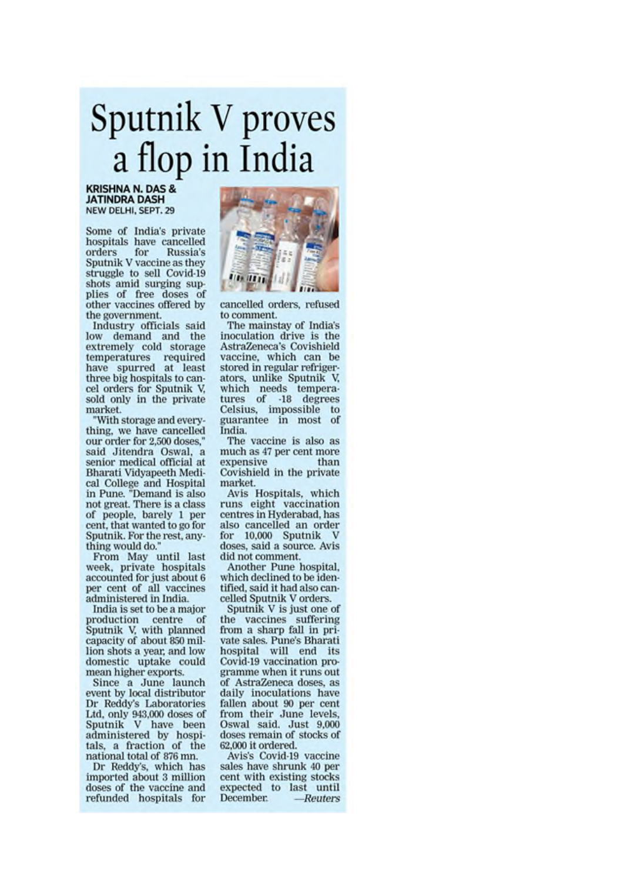# Sputnik V proves a flop in India

#### **KRISHNA N. DAS & JATINDRA DASH** NEW DELHI, SEPT. 29

Some of India's private hospitals have cancelled orders for Russia's Sputnik V vaccine as they struggle to sell Covid-19 shots amid surging supplies of free doses of other vaccines offered by the government.

Industry officials said low demand and the extremely cold storage temperatures required<br>have spurred at least three big hospitals to cancel orders for Sputnik V, sold only in the private market.

'With storage and everything, we have cancelled our order for 2,500 doses," said Jitendra Oswal, a senior medical official at Bharati Vidyapeeth Medical College and Hospital<br>in Pune. "Demand is also<br>not great. There is a class of people, barely 1 per cent, that wanted to go for Sputnik. For the rest, anything would do.

From May until last week, private hospitals accounted for just about 6 per cent of all vaccines administered in India.

India is set to be a major production centre of Sputnik V, with planned capacity of about 850 million shots a year, and low domestic uptake could mean higher exports.

Since a June launch event by local distributor Dr Reddy's Laboratories Ltd, only 943,000 doses of<br>Sputnik V have been administered by hospitals, a fraction of the national total of 876 mn.

Dr Reddy's, which has imported about 3 million doses of the vaccine and refunded hospitals for



cancelled orders, refused to comment.

The mainstay of India's inoculation drive is the AstraZeneca's Covishield vaccine, which can be stored in regular refrigerators, unlike Sputnik V, which needs tempera-<br>tures of -18 degrees Celsius, impossible to guarantee in most of India.

The vaccine is also as much as 47 per cent more expensive than Covishield in the private market.

Avis Hospitals, which runs eight vaccination centres in Hyderabad, has also cancelled an order for 10,000 Sputnik V doses, said a source. Avis did not comment.

Another Pune hospital, which declined to be identified, said it had also cancelled Sputnik V orders.

Sputnik V is just one of the vaccines suffering from a sharp fall in private sales. Pune's Bharati hospital will end its Covid-19 vaccination programme when it runs out of AstraZeneca doses, as daily inoculations have fallen about 90 per cent from their June levels, Oswal said. Just 9,000 doses remain of stocks of 62,000 it ordered.

Avis's Covid-19 vaccine sales have shrunk 40 per cent with existing stocks expected to last until December.  $-*Reuter*$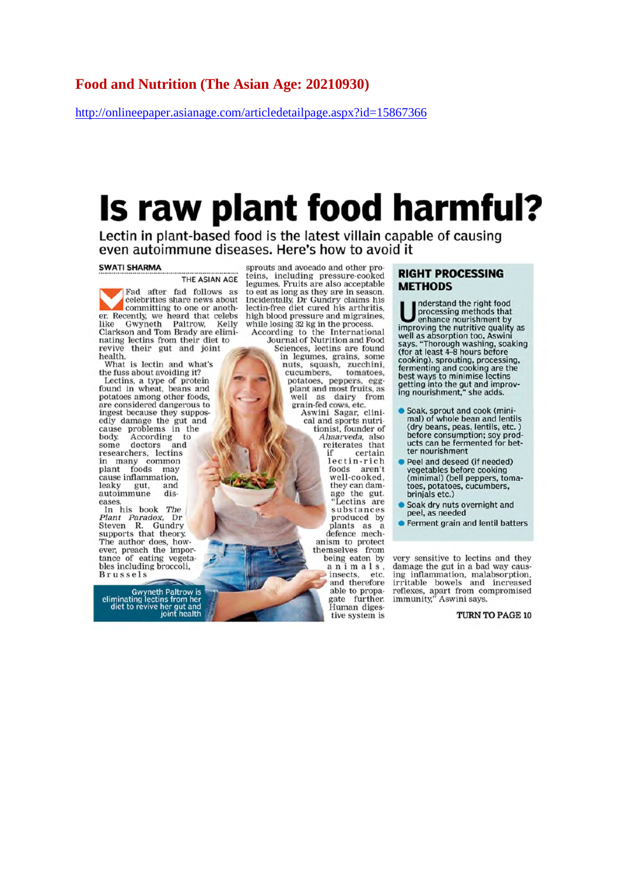## Food and Nutrition (The Asian Age: 20210930)

http://onlineepaper.asianage.com/articledetailpage.aspx?id=15867366

# Is raw plant food harmful?

Lectin in plant-based food is the latest villain capable of causing even autoimmune diseases. Here's how to avoid it

#### **SWATI SHARMA**

THE ASIAN AGE

Fad after fad follows as celebrities share news about committing to one or another. Recently, we heard that celebs<br>like Gwyneth Paltrow, Kelly<br>Clarkson and Tom Brady are eliminating lectins from their diet to revive their gut and joint health.

What is lectin and what's the fuss about avoiding it? Lectins, a type of protein<br>found in wheat, beans and potatoes among other foods. are considered dangerous to<br>ingest because they supposedly damage the gut and cause problems in the According to<br>doctors and body.  $\overline{t}$ some researchers, lectins<br>in many common plant foods may<br>cause inflammation. leaky gut. and autoimmune dis eases

In his book The Plant Paradox, Dr<br>Steven R. Gundry<br>supports that theory. The author does, how-<br>ever, preach the importance of eating vegetables including broccoli, **Brussels** 

Gwyneth Paltrow is<br>eliminating lectins from her<br>diet to revive her gut and<br>joint health

sprouts and avocado and other prosprous and avocado and other pro-<br>teins, including pressure-cooked<br>legumes. Fruits are also acceptable<br>to eat as long as they are in season.<br>Incidentally, Dr Gundry claims his<br>lectin-free diet cured his arthritis,<br>high blo while losing 32 kg in the process.

According to the International Journal of Nutrition and Food Sciences, lectins are found in legumes, grains, some in legimes, grains, some<br>nuts, squash, zucchini,<br>cucumbers, tomatoes,<br>potatoes, peppers, egg-<br>plant and most fruits, as well as dairy from

grain-fed cows, etc.<br>Aswini Sagar, clini-<br>cal and sports nutritionist, founder of Ahaarveda, also<br>reiterates that certain if lectin-rich foods aren't<br>well-cooked, they can damage the gut. 'Lectins are substances produced by produced by<br>plants as a<br>defence mech-

anism to protect<br>themselves from being eaten by animals, insects. etc. and therefore able to propagate further. Human diges. tive system is

#### **RIGHT PROCESSING METHODS**

nderstand the right food processing methods that<br>enhance nourishment by improving the nutritive quality as well as absorption too, Aswini well as absorption too, Aswill<br>says, "Thorough washing, soaking<br>(for at least 4-8 hours before<br>cooking), sprouting, processing,<br>fermenting and cooking are the<br>best ways to minimise lectins getting into the gut and improving nourishment," she adds.

- Soak, sprout and cook (minimal) of whole bean and lentils<br>(dry beans, peas, lentils, etc.) before consumption; soy products can be fermented for better nourishment
- Peel and deseed (if needed) vegetables before cooking (minimal) (bell peppers, tomatoes, potatoes, cucumbers, brinjals etc.)
- Soak dry nuts overnight and peel, as needed
- Ferment grain and lentil batters

very sensitive to lectins and they damage the gut in a bad way causing inflammation, malabsorption,<br>irritable bowels and increased reflexes, apart from compromised<br>immunity," Aswini says.

TURN TO PAGE 10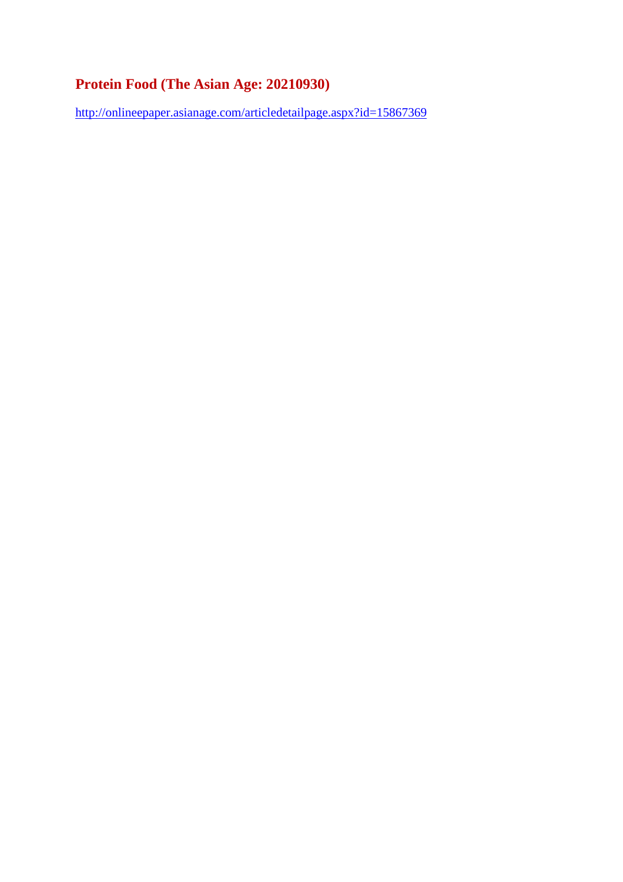# **Protein Food (The Asian Age: 20210930)**

http://onlineepaper.asianage.com/articledetailpage.aspx?id=15867369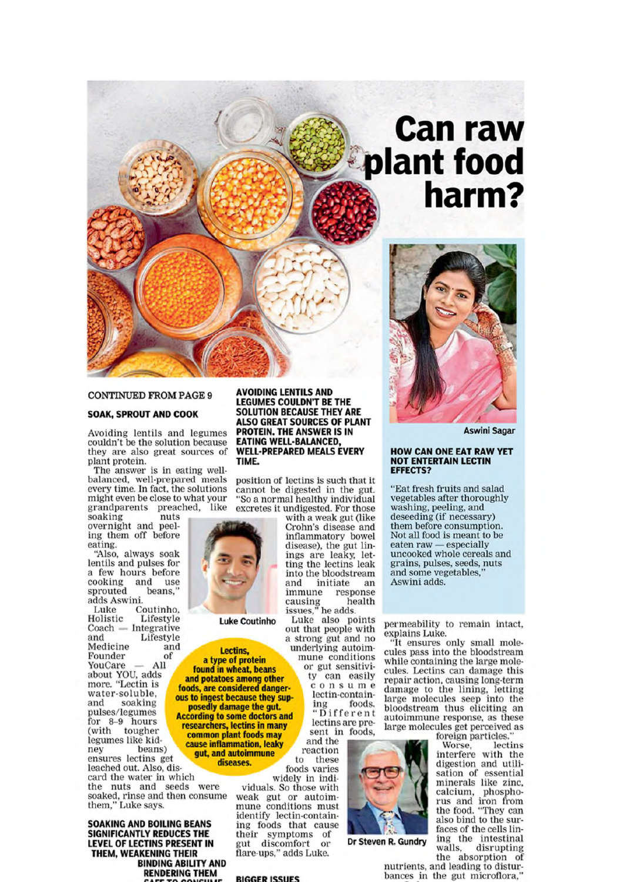# **Can raw** plant food<br>harm?



#### **CONTINUED FROM PAGE 9**

#### **SOAK, SPROUT AND COOK**

Avoiding lentils and legumes couldn't be the solution because they are also great sources of plant protein.

The answer is in eating wellbalanced, well-prepared meals every time. In fact, the solutions might even be close to what your grandparents preached, like

soaking nuts overnight and peeling them off before eating.

"Also, always soak lentils and pulses for a few hours before cooking and use sprouted beans. adds Aswini.

Coutinho. Luke Holistic Lifestyle  $-$ Integrative Coach and Lifestyle Medicine and Founder of YouCare All about YOU, adds<br>more. "Lectin is water-soluble. and soaking pulses/legumes for 8-9 hours (with tougher legumes like kidnev beans) ensures lectins get leached out. Also, discard the water in which the nuts and seeds were soaked, rinse and then consume<br>them," Luke says.

**SOAKING AND BOILING BEANS** SIGNIFICANTLY REDUCES THE LEVEL OF LECTINS PRESENT IN THEM, WEAKENING THEIR **BINDING ABILITY AND RENDERING THEM** 

**AVOIDING LENTILS AND LEGUMES COULDN'T BE THE SOLUTION BECAUSE THEY ARE ALSO GREAT SOURCES OF PLANT PROTEIN. THE ANSWER IS IN EATING WELL-BALANCED, WELL-PREPARED MEALS EVERY** TIME.

position of lectins is such that it cannot be digested in the gut.<br>"So a normal healthy individual excretes it undigested. For those

with a weak gut (like Crohn's disease and inflammatory bowel<br>disease), the gut linings are leaky, letting the lectins leak into the bloodstream and initiate an response immune causing he<br>issues," he adds. health

Luke also points out that people with a strong gut and no underlying autoimmune conditions or gut sensitivity can easily consume lectin-containfoods. ing

Different lectins are present in foods. and the reaction to these

widely in individuals. So those with weak gut or autoimmune conditions must identify lectin-containing foods that cause their symptoms<br>gut discomfort of or flare-ups," adds Luke.

#### **RIGGER ISSUES**

**Aswini Sagar** 

#### **HOW CAN ONE EAT RAW YET NOT ENTERTAIN LECTIN EFFECTS?**

"Eat fresh fruits and salad vegetables after thoroughly washing, peeling, and deseeding (if necessary) them before consumption. Not all food is meant to be eaten raw - especially uncooked whole cereals and grains, pulses, seeds, nuts and some vegetables, Aswini adds.

permeability to remain intact.

explains Luke.<br>"It ensures only small mole-<br>cules pass into the bloodstream while containing the large molecules. Lectins can damage this repair action, causing long-term damage to the lining, letting<br>large molecules seep into the bloodstream thus eliciting an autoimmune response, as these large molecules get perceived as

foreign particles.

lectins Worse. interfere with the digestion and utilisation of essential minerals like zinc. calcium, phosphorus and iron from<br>the food. "They can also bind to the surfaces of the cells lining the intestinal disrupting walls. the absorption of

nutrients, and leading to disturbances in the gut microflora,

Dr Steven R. Gundry



**Luke Coutinho** 

# Lectins.

a type of protein found in wheat, beans and potatoes among other foods, are considered dangerous to ingest because they supposedly damage the gut.<br>According to some doctors and researchers, lectins in many common plant foods may cause inflammation, leaky gut, and autoimmune diseases.

foods varies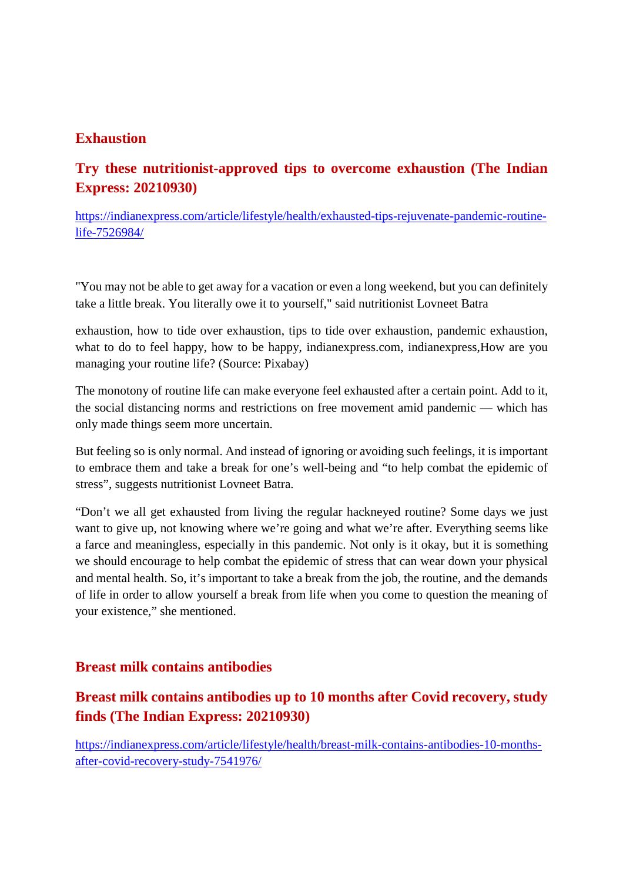# **Exhaustion**

# **Try these nutritionist-approved tips to overcome exhaustion (The Indian Express: 20210930)**

https://indianexpress.com/article/lifestyle/health/exhausted-tips-rejuvenate-pandemic-routinelife-7526984/

"You may not be able to get away for a vacation or even a long weekend, but you can definitely take a little break. You literally owe it to yourself," said nutritionist Lovneet Batra

exhaustion, how to tide over exhaustion, tips to tide over exhaustion, pandemic exhaustion, what to do to feel happy, how to be happy, indianexpress.com, indianexpress, How are you managing your routine life? (Source: Pixabay)

The monotony of routine life can make everyone feel exhausted after a certain point. Add to it, the social distancing norms and restrictions on free movement amid pandemic — which has only made things seem more uncertain.

But feeling so is only normal. And instead of ignoring or avoiding such feelings, it is important to embrace them and take a break for one's well-being and "to help combat the epidemic of stress", suggests nutritionist Lovneet Batra.

"Don't we all get exhausted from living the regular hackneyed routine? Some days we just want to give up, not knowing where we're going and what we're after. Everything seems like a farce and meaningless, especially in this pandemic. Not only is it okay, but it is something we should encourage to help combat the epidemic of stress that can wear down your physical and mental health. So, it's important to take a break from the job, the routine, and the demands of life in order to allow yourself a break from life when you come to question the meaning of your existence," she mentioned.

## **Breast milk contains antibodies**

# **Breast milk contains antibodies up to 10 months after Covid recovery, study finds (The Indian Express: 20210930)**

https://indianexpress.com/article/lifestyle/health/breast-milk-contains-antibodies-10-monthsafter-covid-recovery-study-7541976/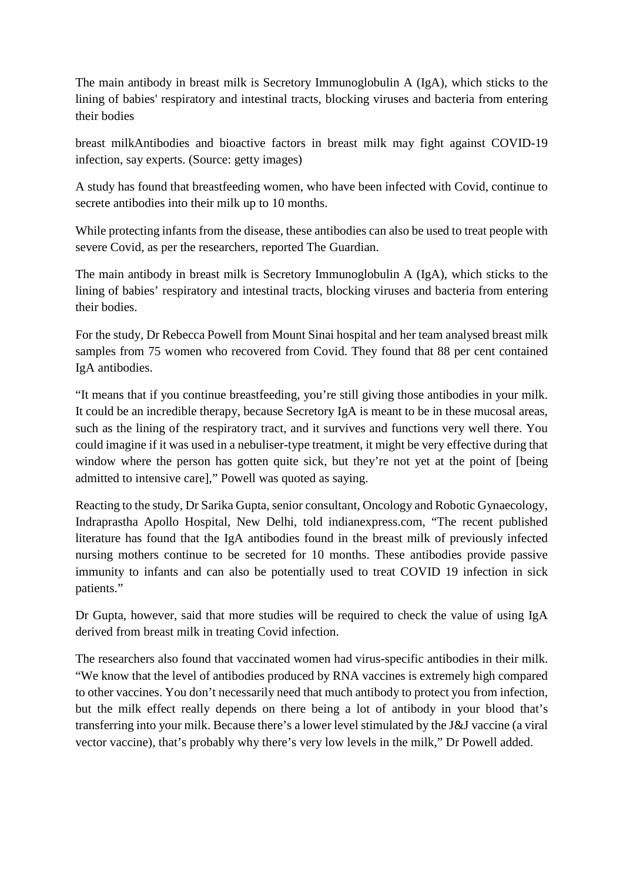The main antibody in breast milk is Secretory Immunoglobulin A (IgA), which sticks to the lining of babies' respiratory and intestinal tracts, blocking viruses and bacteria from entering their bodies

breast milkAntibodies and bioactive factors in breast milk may fight against COVID-19 infection, say experts. (Source: getty images)

A study has found that breastfeeding women, who have been infected with Covid, continue to secrete antibodies into their milk up to 10 months.

While protecting infants from the disease, these antibodies can also be used to treat people with severe Covid, as per the researchers, reported The Guardian.

The main antibody in breast milk is Secretory Immunoglobulin A (IgA), which sticks to the lining of babies' respiratory and intestinal tracts, blocking viruses and bacteria from entering their bodies.

For the study, Dr Rebecca Powell from Mount Sinai hospital and her team analysed breast milk samples from 75 women who recovered from Covid. They found that 88 per cent contained IgA antibodies.

"It means that if you continue breastfeeding, you're still giving those antibodies in your milk. It could be an incredible therapy, because Secretory IgA is meant to be in these mucosal areas, such as the lining of the respiratory tract, and it survives and functions very well there. You could imagine if it was used in a nebuliser-type treatment, it might be very effective during that window where the person has gotten quite sick, but they're not yet at the point of [being admitted to intensive care]," Powell was quoted as saying.

Reacting to the study, Dr Sarika Gupta, senior consultant, Oncology and Robotic Gynaecology, Indraprastha Apollo Hospital, New Delhi, told indianexpress.com, "The recent published literature has found that the IgA antibodies found in the breast milk of previously infected nursing mothers continue to be secreted for 10 months. These antibodies provide passive immunity to infants and can also be potentially used to treat COVID 19 infection in sick patients."

Dr Gupta, however, said that more studies will be required to check the value of using IgA derived from breast milk in treating Covid infection.

The researchers also found that vaccinated women had virus-specific antibodies in their milk. "We know that the level of antibodies produced by RNA vaccines is extremely high compared to other vaccines. You don't necessarily need that much antibody to protect you from infection, but the milk effect really depends on there being a lot of antibody in your blood that's transferring into your milk. Because there's a lower level stimulated by the J&J vaccine (a viral vector vaccine), that's probably why there's very low levels in the milk," Dr Powell added.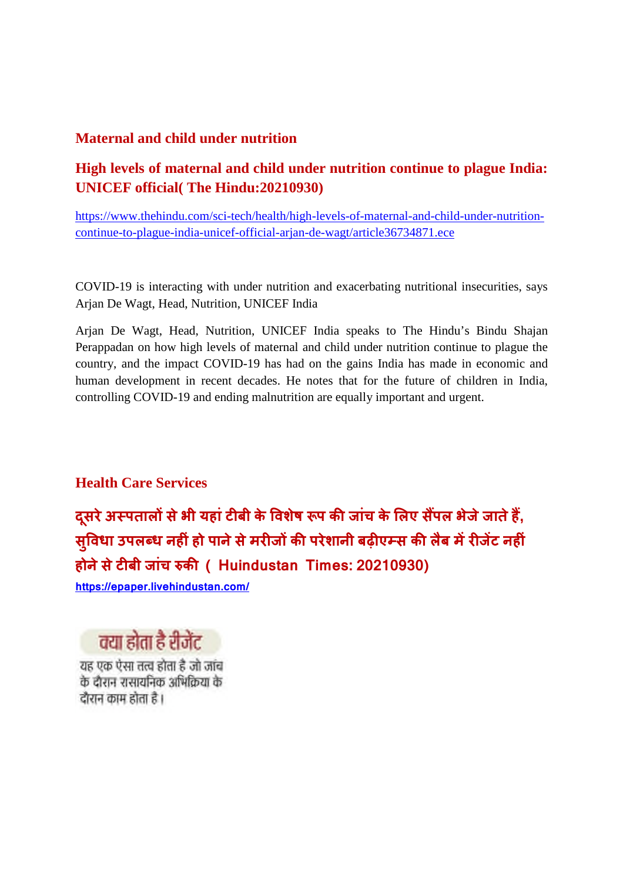# **Maternal and child under nutrition**

# **High levels of maternal and child under nutrition continue to plague India: UNICEF official( The Hindu:20210930)**

https://www.thehindu.com/sci-tech/health/high-levels-of-maternal-and-child-under-nutritioncontinue-to-plague-india-unicef-official-arjan-de-wagt/article36734871.ece

COVID-19 is interacting with under nutrition and exacerbating nutritional insecurities, says Arjan De Wagt, Head, Nutrition, UNICEF India

Arjan De Wagt, Head, Nutrition, UNICEF India speaks to The Hindu's Bindu Shajan Perappadan on how high levels of maternal and child under nutrition continue to plague the country, and the impact COVID-19 has had on the gains India has made in economic and human development in recent decades. He notes that for the future of children in India, controlling COVID-19 and ending malnutrition are equally important and urgent.

**Health Care Services**

**दसू रेअपतालसेभी यहांटबी के वशषे प कजांच के लए सपल भेजेजातेह, स ु वधा उपलध नहंहो पानेसेमरजकपरेशानी बढ़एस कलबै मरजट नहं होनेसेटबी जांच क ( Huindustan Times: 20210930)**

**https://epaper.livehindustan.com/**



यह एक ऐसा तत्व होता है जो जांच के दौरान रासायनिक अभिक्रिया के दौरान काम होता है।